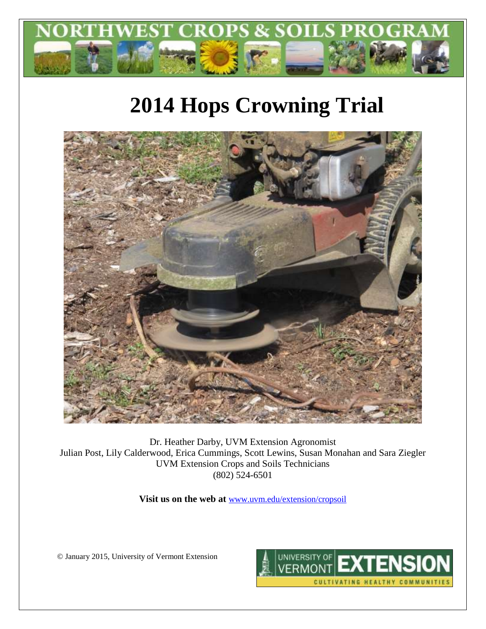

# **2014 Hops Crowning Trial**



Dr. Heather Darby, UVM Extension Agronomist Julian Post, Lily Calderwood, Erica Cummings, Scott Lewins, Susan Monahan and Sara Ziegler UVM Extension Crops and Soils Technicians (802) 524-6501

**Visit us on the web at** [www.uvm.edu/extension/cropsoil](http://www.uvm.edu/extension/cropsoil)

© January 2015, University of Vermont Extension

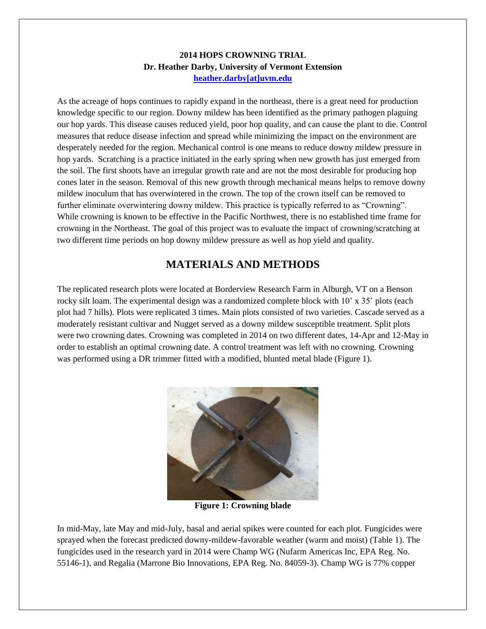### **2014 HOPS CROWNING TRIAL Dr. Heather Darby, University of Vermont Extension [heather.darby\[at\]uvm.edu](mailto:heather.darby@uvm.edu?subject=2012%20Hops%20Variety%20Trial%20Report)**

As the acreage of hops continues to rapidly expand in the northeast, there is a great need for production knowledge specific to our region. Downy mildew has been identified as the primary pathogen plaguing our hop yards. This disease causes reduced yield, poor hop quality, and can cause the plant to die. Control measures that reduce disease infection and spread while minimizing the impact on the environment are desperately needed for the region. Mechanical control is one means to reduce downy mildew pressure in hop yards. Scratching is a practice initiated in the early spring when new growth has just emerged from the soil. The first shoots have an irregular growth rate and are not the most desirable for producing hop cones later in the season. Removal of this new growth through mechanical means helps to remove downy mildew inoculum that has overwintered in the crown. The top of the crown itself can be removed to further eliminate overwintering downy mildew. This practice is typically referred to as "Crowning". While crowning is known to be effective in the Pacific Northwest, there is no established time frame for crowning in the Northeast. The goal of this project was to evaluate the impact of crowning/scratching at two different time periods on hop downy mildew pressure as well as hop yield and quality.

## **MATERIALS AND METHODS**

The replicated research plots were located at Borderview Research Farm in Alburgh, VT on a Benson rocky silt loam. The experimental design was a randomized complete block with 10' x 35' plots (each plot had 7 hills). Plots were replicated 3 times. Main plots consisted of two varieties. Cascade served as a moderately resistant cultivar and Nugget served as a downy mildew susceptible treatment. Split plots were two crowning dates. Crowning was completed in 2014 on two different dates, 14-Apr and 12-May in order to establish an optimal crowning date. A control treatment was left with no crowning. Crowning was performed using a DR trimmer fitted with a modified, blunted metal blade (Figure 1).



**Figure 1: Crowning blade**

In mid-May, late May and mid-July, basal and aerial spikes were counted for each plot. Fungicides were sprayed when the forecast predicted downy-mildew-favorable weather (warm and moist) (Table 1). The fungicides used in the research yard in 2014 were Champ WG (Nufarm Americas Inc, EPA Reg. No. 55146-1), and Regalia (Marrone Bio Innovations, EPA Reg. No. 84059-3). Champ WG is 77% copper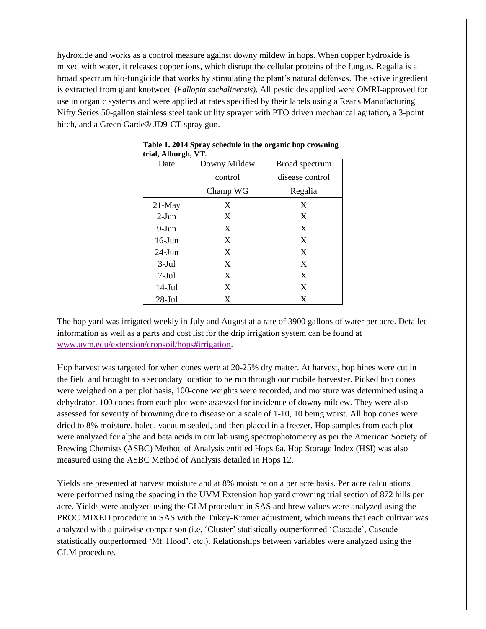hydroxide and works as a control measure against downy mildew in hops. When copper hydroxide is mixed with water, it releases copper ions, which disrupt the cellular proteins of the fungus. Regalia is a broad spectrum bio-fungicide that works by stimulating the plant's natural defenses. The active ingredient is extracted from giant knotweed (*Fallopia sachalinensis)*. All pesticides applied were OMRI-approved for use in organic systems and were applied at rates specified by their labels using a Rear's Manufacturing Nifty Series 50-gallon stainless steel tank utility sprayer with PTO driven mechanical agitation, a 3-point hitch, and a Green Garde® JD9-CT spray gun.

| u iai, Andurgii, VI. |              |                 |
|----------------------|--------------|-----------------|
| Date                 | Downy Mildew | Broad spectrum  |
|                      | control      | disease control |
|                      | Champ WG     | Regalia         |
| $21$ -May            | X            | X               |
| $2-Jun$              | X            | X               |
| 9-Jun                | X            | X               |
| $16$ -Jun            | X            | X               |
| $24$ -Jun            | X            | X               |
| $3-Jul$              | X            | X               |
| $7-Jul$              | X            | X               |
| $14-Jul$             | X            | X               |
| $28$ -Jul            | X            | X               |

|                     | Table 1. 2014 Spray schedule in the organic hop crowning |  |
|---------------------|----------------------------------------------------------|--|
| trial, Alburgh, VT. |                                                          |  |

The hop yard was irrigated weekly in July and August at a rate of 3900 gallons of water per acre. Detailed information as well as a parts and cost list for the drip irrigation system can be found at [www.uvm.edu/extension/cropsoil/hops#irrigation.](http://www.uvm.edu/extension/cropsoil/hops#irrigation)

Hop harvest was targeted for when cones were at 20-25% dry matter. At harvest, hop bines were cut in the field and brought to a secondary location to be run through our mobile harvester. Picked hop cones were weighed on a per plot basis, 100-cone weights were recorded, and moisture was determined using a dehydrator. 100 cones from each plot were assessed for incidence of downy mildew. They were also assessed for severity of browning due to disease on a scale of 1-10, 10 being worst. All hop cones were dried to 8% moisture, baled, vacuum sealed, and then placed in a freezer. Hop samples from each plot were analyzed for alpha and beta acids in our lab using spectrophotometry as per the American Society of Brewing Chemists (ASBC) Method of Analysis entitled Hops 6a. Hop Storage Index (HSI) was also measured using the ASBC Method of Analysis detailed in Hops 12.

Yields are presented at harvest moisture and at 8% moisture on a per acre basis. Per acre calculations were performed using the spacing in the UVM Extension hop yard crowning trial section of 872 hills per acre. Yields were analyzed using the GLM procedure in SAS and brew values were analyzed using the PROC MIXED procedure in SAS with the Tukey-Kramer adjustment, which means that each cultivar was analyzed with a pairwise comparison (i.e. 'Cluster' statistically outperformed 'Cascade', Cascade statistically outperformed 'Mt. Hood', etc.). Relationships between variables were analyzed using the GLM procedure.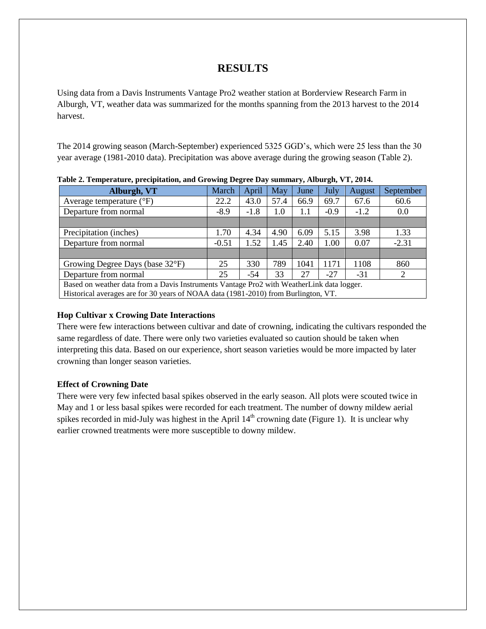## <span id="page-3-0"></span>**RESULTS**

Using data from a Davis Instruments Vantage Pro2 weather station at Borderview Research Farm in Alburgh, VT, weather data was summarized for the months spanning from the 2013 harvest to the 2014 harvest[.](#page-3-0)

The 2014 growing season (March-September) experienced 5325 GGD's, which were 25 less than the 30 year average (1981-2010 data). Precipitation was above average during the growing season (Table 2).

| тамс 2. тетрегалате, ргестриалоп, апа это я ще всегсе вау вашная уставателя, с ту 2014.   |         |        |      |      |             |        |           |  |
|-------------------------------------------------------------------------------------------|---------|--------|------|------|-------------|--------|-----------|--|
| Alburgh, VT                                                                               | March   | April  | May  | June | <b>July</b> | August | September |  |
| Average temperature $({}^{\circ}F)$                                                       | 22.2    | 43.0   | 57.4 | 66.9 | 69.7        | 67.6   | 60.6      |  |
| Departure from normal                                                                     | $-8.9$  | $-1.8$ | 1.0  | 1.1  | $-0.9$      | $-1.2$ | 0.0       |  |
|                                                                                           |         |        |      |      |             |        |           |  |
| Precipitation (inches)                                                                    | 1.70    | 4.34   | 4.90 | 6.09 | 5.15        | 3.98   | 1.33      |  |
| Departure from normal                                                                     | $-0.51$ | 1.52   | 1.45 | 2.40 | 1.00        | 0.07   | $-2.31$   |  |
|                                                                                           |         |        |      |      |             |        |           |  |
| Growing Degree Days (base 32°F)                                                           | 25      | 330    | 789  | 1041 | 1171        | 1108   | 860       |  |
| Departure from normal                                                                     | 25      | -54    | 33   | 27   | $-27$       | $-31$  | 2         |  |
| Based on weather data from a Davis Instruments Vantage Pro2 with WeatherLink data logger. |         |        |      |      |             |        |           |  |
| Historical averages are for 30 years of NOAA data (1981-2010) from Burlington, VT.        |         |        |      |      |             |        |           |  |

**Table 2. Temperature, precipitation, and Growing Degree Day summary, Alburgh, VT, 2014.**

#### **Hop Cultivar x Crowing Date Interactions**

There were few interactions between cultivar and date of crowning, indicating the cultivars responded the same regardless of date. There were only two varieties evaluated so caution should be taken when interpreting this data. Based on our experience, short season varieties would be more impacted by later crowning than longer season varieties.

#### **Effect of Crowning Date**

There were very few infected basal spikes observed in the early season. All plots were scouted twice in May and 1 or less basal spikes were recorded for each treatment. The number of downy mildew aerial spikes recorded in mid-July was highest in the April  $14<sup>th</sup>$  crowning date (Figure 1). It is unclear why earlier crowned treatments were more susceptible to downy mildew.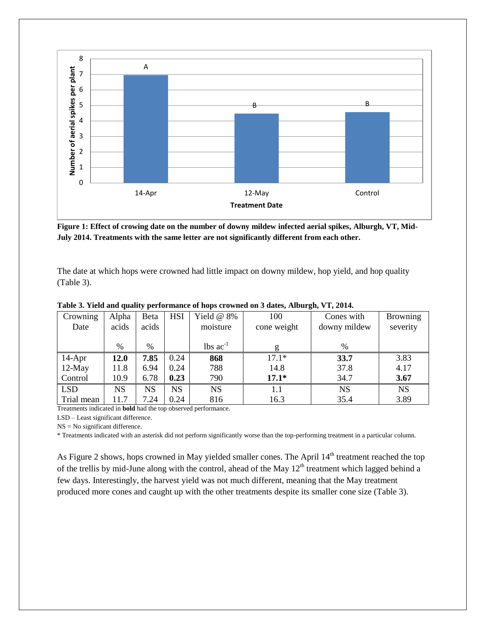

**Figure 1: Effect of crowing date on the number of downy mildew infected aerial spikes, Alburgh, VT, Mid-July 2014. Treatments with the same letter are not significantly different from each other.**

The date at which hops were crowned had little impact on downy mildew, hop yield, and hop quality (Table 3).

| Crowning   | Alpha       | Beta  | <b>HSI</b> | Yield $@$ 8%                  | 100         | Cones with   | <b>Browning</b> |
|------------|-------------|-------|------------|-------------------------------|-------------|--------------|-----------------|
| Date       | acids       | acids |            | moisture                      | cone weight | downy mildew | severity        |
|            |             |       |            |                               |             |              |                 |
|            | %           | $\%$  |            | $\text{lbs}$ ac <sup>-1</sup> | g           | $\%$         |                 |
| $14-Apr$   | <b>12.0</b> | 7.85  | 0.24       | 868                           | $17.1*$     | 33.7         | 3.83            |
| $12$ -May  | 11.8        | 6.94  | 0.24       | 788                           | 14.8        | 37.8         | 4.17            |
| Control    | 10.9        | 6.78  | 0.23       | 790                           | $17.1*$     | 34.7         | 3.67            |
| <b>LSD</b> | <b>NS</b>   | NS    | NS         | <b>NS</b>                     | $1.1\,$     | <b>NS</b>    | <b>NS</b>       |
| Trial mean | 11.7        | 7.24  | 0.24       | 816                           | 16.3        | 35.4         | 3.89            |

**Table 3. Yield and quality performance of hops crowned on 3 dates, Alburgh, VT, 2014.**

Treatments indicated in **bold** had the top observed performance.

LSD – Least significant difference.

NS = No significant difference.

\* Treatments indicated with an asterisk did not perform significantly worse than the top-performing treatment in a particular column.

As Figure 2 shows, hops crowned in May yielded smaller cones. The April 14<sup>th</sup> treatment reached the top of the trellis by mid-June along with the control, ahead of the May  $12<sup>th</sup>$  treatment which lagged behind a few days. Interestingly, the harvest yield was not much different, meaning that the May treatment produced more cones and caught up with the other treatments despite its smaller cone size (Table 3).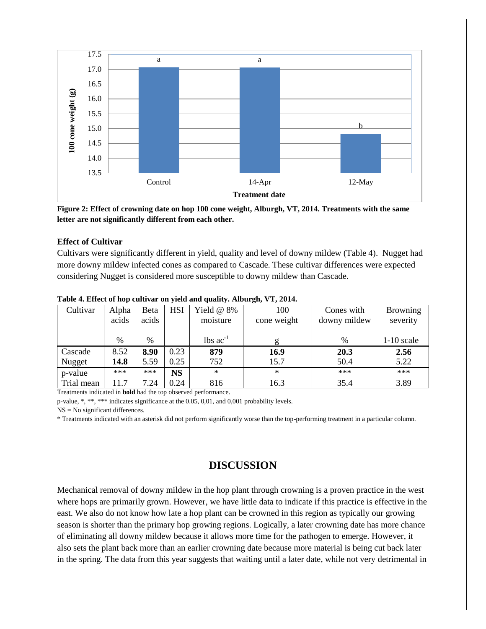

**Figure 2: Effect of crowning date on hop 100 cone weight, Alburgh, VT, 2014. Treatments with the same letter are not significantly different from each other.**

#### **Effect of Cultivar**

Cultivars were significantly different in yield, quality and level of downy mildew (Table 4). Nugget had more downy mildew infected cones as compared to Cascade. These cultivar differences were expected considering Nugget is considered more susceptible to downy mildew than Cascade.

| Cultivar   | Alpha | Beta  | <b>HSI</b> | Yield $@$ 8%                  | 100         | Cones with   | <b>Browning</b> |
|------------|-------|-------|------------|-------------------------------|-------------|--------------|-----------------|
|            | acids | acids |            | moisture                      | cone weight | downy mildew | severity        |
|            |       |       |            |                               |             |              |                 |
|            | %     | $\%$  |            | $\text{lbs}$ ac <sup>-1</sup> | g           | %            | $1-10$ scale    |
| Cascade    | 8.52  | 8.90  | 0.23       | 879                           | 16.9        | 20.3         | 2.56            |
| Nugget     | 14.8  | 5.59  | 0.25       | 752                           | 15.7        | 50.4         | 5.22            |
| p-value    | ***   | ***   | <b>NS</b>  | $\ast$                        | $\ast$      | ***          | $***$           |
| Trial mean | 11.7  | 7.24  | 0.24       | 816                           | 16.3        | 35.4         | 3.89            |

#### **Table 4. Effect of hop cultivar on yield and quality. Alburgh, VT, 2014.**

Treatments indicated in **bold** had the top observed performance.

p-value, \*, \*\*, \*\*\* indicates significance at the 0.05, 0,01, and 0,001 probability levels.

NS = No significant differences.

\* Treatments indicated with an asterisk did not perform significantly worse than the top-performing treatment in a particular column.

## **DISCUSSION**

Mechanical removal of downy mildew in the hop plant through crowning is a proven practice in the west where hops are primarily grown. However, we have little data to indicate if this practice is effective in the east. We also do not know how late a hop plant can be crowned in this region as typically our growing season is shorter than the primary hop growing regions. Logically, a later crowning date has more chance of eliminating all downy mildew because it allows more time for the pathogen to emerge. However, it also sets the plant back more than an earlier crowning date because more material is being cut back later in the spring. The data from this year suggests that waiting until a later date, while not very detrimental in